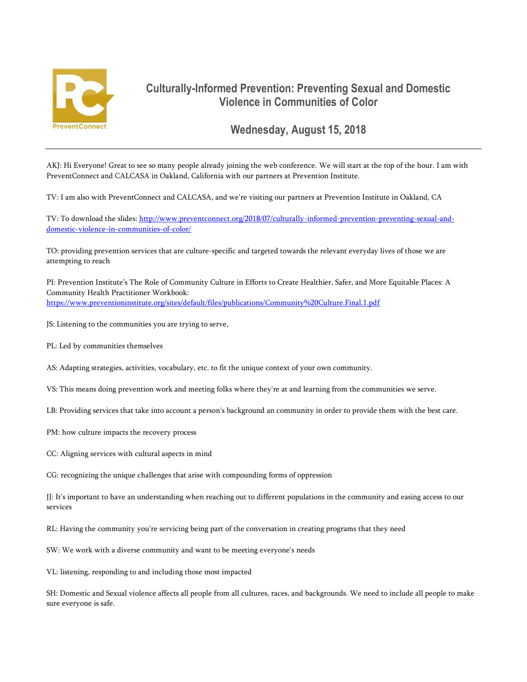

## **Culturally-Informed Prevention: Preventing Sexual and Domestic Violence in Communities of Color**

**Wednesday, August 15, 2018**

AKJ: Hi Everyone! Great to see so many people already joining the web conference. We will start at the top of the hour. I am with PreventConnect and CALCASA in Oakland, California with our partners at Prevention Institute.

TV: I am also with PreventConnect and CALCASA, and we're visiting our partners at Prevention Institute in Oakland, CA

TV: To download the slides: [http://www.preventconnect.org/2018/07/culturally-informed-prevention-preventing-sexual-and](http://www.preventconnect.org/2018/07/culturally-informed-prevention-preventing-sexual-and-domestic-violence-in-communities-of-color/)[domestic-violence-in-communities-of-color/](http://www.preventconnect.org/2018/07/culturally-informed-prevention-preventing-sexual-and-domestic-violence-in-communities-of-color/)

TO: providing prevention services that are culture-specific and targeted towards the relevant everyday lives of those we are attempting to reach

PI: Prevention Institute's The Role of Community Culture in Efforts to Create Healthier, Safer, and More Equitable Places: A Community Health Practitioner Workbook: <https://www.preventioninstitute.org/sites/default/files/publications/Community%20Culture.Final.1.pdf>

JS: Listening to the communities you are trying to serve,

PL: Led by communities themselves

AS: Adapting strategies, activities, vocabulary, etc. to fit the unique context of your own community.

VS: This means doing prevention work and meeting folks where they're at and learning from the communities we serve.

LB: Providing services that take into account a person's background an community in order to provide them with the best care.

PM: how culture impacts the recovery process

CC: Aligning services with cultural aspects in mind

CG: recognizing the unique challenges that arise with compounding forms of oppression

JJ: It's important to have an understanding when reaching out to different populations in the community and easing access to our services

RL: Having the community you're servicing being part of the conversation in creating programs that they need

SW: We work with a diverse community and want to be meeting everyone's needs

VL: listening, responding to and including those most impacted

SH: Domestic and Sexual violence affects all people from all cultures, races, and backgrounds. We need to include all people to make sure everyone is safe.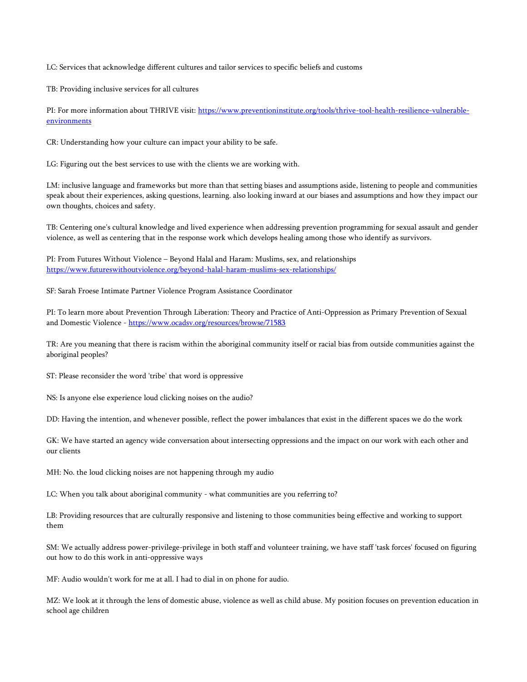LC: Services that acknowledge different cultures and tailor services to specific beliefs and customs

TB: Providing inclusive services for all cultures

PI: For more information about THRIVE visit: [https://www.preventioninstitute.org/tools/thrive-tool-health-resilience-vulnerable](https://www.preventioninstitute.org/tools/thrive-tool-health-resilience-vulnerable-environments)[environments](https://www.preventioninstitute.org/tools/thrive-tool-health-resilience-vulnerable-environments)

CR: Understanding how your culture can impact your ability to be safe.

LG: Figuring out the best services to use with the clients we are working with.

LM: inclusive language and frameworks but more than that setting biases and assumptions aside, listening to people and communities speak about their experiences, asking questions, learning. also looking inward at our biases and assumptions and how they impact our own thoughts, choices and safety.

TB: Centering one's cultural knowledge and lived experience when addressing prevention programming for sexual assault and gender violence, as well as centering that in the response work which develops healing among those who identify as survivors.

PI: From Futures Without Violence – Beyond Halal and Haram: Muslims, sex, and relationships <https://www.futureswithoutviolence.org/beyond-halal-haram-muslims-sex-relationships/>

SF: Sarah Froese Intimate Partner Violence Program Assistance Coordinator

PI: To learn more about Prevention Through Liberation: Theory and Practice of Anti-Oppression as Primary Prevention of Sexual and Domestic Violence - <https://www.ocadsv.org/resources/browse/71583>

TR: Are you meaning that there is racism within the aboriginal community itself or racial bias from outside communities against the aboriginal peoples?

ST: Please reconsider the word 'tribe' that word is oppressive

NS: Is anyone else experience loud clicking noises on the audio?

DD: Having the intention, and whenever possible, reflect the power imbalances that exist in the different spaces we do the work

GK: We have started an agency wide conversation about intersecting oppressions and the impact on our work with each other and our clients

MH: No. the loud clicking noises are not happening through my audio

LC: When you talk about aboriginal community - what communities are you referring to?

LB: Providing resources that are culturally responsive and listening to those communities being effective and working to support them

SM: We actually address power-privilege-privilege in both staff and volunteer training, we have staff 'task forces' focused on figuring out how to do this work in anti-oppressive ways

MF: Audio wouldn't work for me at all. I had to dial in on phone for audio.

MZ: We look at it through the lens of domestic abuse, violence as well as child abuse. My position focuses on prevention education in school age children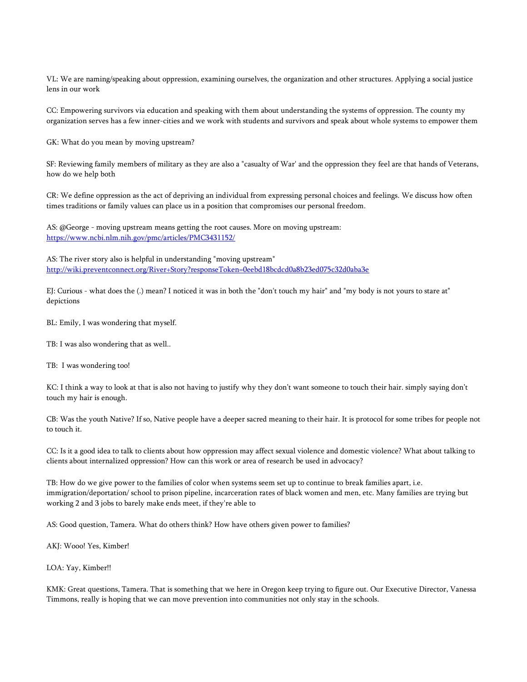VL: We are naming/speaking about oppression, examining ourselves, the organization and other structures. Applying a social justice lens in our work

CC: Empowering survivors via education and speaking with them about understanding the systems of oppression. The county my organization serves has a few inner-cities and we work with students and survivors and speak about whole systems to empower them

GK: What do you mean by moving upstream?

SF: Reviewing family members of military as they are also a "casualty of War' and the oppression they feel are that hands of Veterans, how do we help both

CR: We define oppression as the act of depriving an individual from expressing personal choices and feelings. We discuss how often times traditions or family values can place us in a position that compromises our personal freedom.

AS: @George - moving upstream means getting the root causes. More on moving upstream: <https://www.ncbi.nlm.nih.gov/pmc/articles/PMC3431152/>

AS: The river story also is helpful in understanding "moving upstream" <http://wiki.preventconnect.org/River+Story?responseToken=0eebd18bcdcd0a8b23ed075c32d0aba3e>

EJ: Curious - what does the (.) mean? I noticed it was in both the "don't touch my hair" and "my body is not yours to stare at" depictions

BL: Emily, I was wondering that myself.

TB: I was also wondering that as well..

TB: I was wondering too!

KC: I think a way to look at that is also not having to justify why they don't want someone to touch their hair. simply saying don't touch my hair is enough.

CB: Was the youth Native? If so, Native people have a deeper sacred meaning to their hair. It is protocol for some tribes for people not to touch it.

CC: Is it a good idea to talk to clients about how oppression may affect sexual violence and domestic violence? What about talking to clients about internalized oppression? How can this work or area of research be used in advocacy?

TB: How do we give power to the families of color when systems seem set up to continue to break families apart, i.e. immigration/deportation/ school to prison pipeline, incarceration rates of black women and men, etc. Many families are trying but working 2 and 3 jobs to barely make ends meet, if they're able to

AS: Good question, Tamera. What do others think? How have others given power to families?

AKJ: Wooo! Yes, Kimber!

LOA: Yay, Kimber!!

KMK: Great questions, Tamera. That is something that we here in Oregon keep trying to figure out. Our Executive Director, Vanessa Timmons, really is hoping that we can move prevention into communities not only stay in the schools.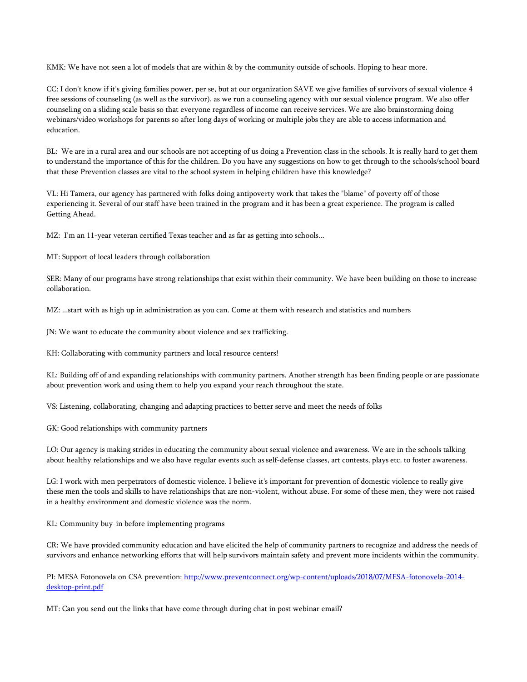KMK: We have not seen a lot of models that are within & by the community outside of schools. Hoping to hear more.

CC: I don't know if it's giving families power, per se, but at our organization SAVE we give families of survivors of sexual violence 4 free sessions of counseling (as well as the survivor), as we run a counseling agency with our sexual violence program. We also offer counseling on a sliding scale basis so that everyone regardless of income can receive services. We are also brainstorming doing webinars/video workshops for parents so after long days of working or multiple jobs they are able to access information and education.

BL: We are in a rural area and our schools are not accepting of us doing a Prevention class in the schools. It is really hard to get them to understand the importance of this for the children. Do you have any suggestions on how to get through to the schools/school board that these Prevention classes are vital to the school system in helping children have this knowledge?

VL: Hi Tamera, our agency has partnered with folks doing antipoverty work that takes the "blame" of poverty off of those experiencing it. Several of our staff have been trained in the program and it has been a great experience. The program is called Getting Ahead.

MZ: I'm an 11-year veteran certified Texas teacher and as far as getting into schools...

MT: Support of local leaders through collaboration

SER: Many of our programs have strong relationships that exist within their community. We have been building on those to increase collaboration.

MZ: ...start with as high up in administration as you can. Come at them with research and statistics and numbers

JN: We want to educate the community about violence and sex trafficking.

KH: Collaborating with community partners and local resource centers!

KL: Building off of and expanding relationships with community partners. Another strength has been finding people or are passionate about prevention work and using them to help you expand your reach throughout the state.

VS: Listening, collaborating, changing and adapting practices to better serve and meet the needs of folks

GK: Good relationships with community partners

LO: Our agency is making strides in educating the community about sexual violence and awareness. We are in the schools talking about healthy relationships and we also have regular events such as self-defense classes, art contests, plays etc. to foster awareness.

LG: I work with men perpetrators of domestic violence. I believe it's important for prevention of domestic violence to really give these men the tools and skills to have relationships that are non-violent, without abuse. For some of these men, they were not raised in a healthy environment and domestic violence was the norm.

KL: Community buy-in before implementing programs

CR: We have provided community education and have elicited the help of community partners to recognize and address the needs of survivors and enhance networking efforts that will help survivors maintain safety and prevent more incidents within the community.

PI: MESA Fotonovela on CSA prevention: [http://www.preventconnect.org/wp-content/uploads/2018/07/MESA-fotonovela-2014](http://www.preventconnect.org/wp-content/uploads/2018/07/MESA-fotonovela-2014-desktop-print.pdf) [desktop-print.pdf](http://www.preventconnect.org/wp-content/uploads/2018/07/MESA-fotonovela-2014-desktop-print.pdf)

MT: Can you send out the links that have come through during chat in post webinar email?